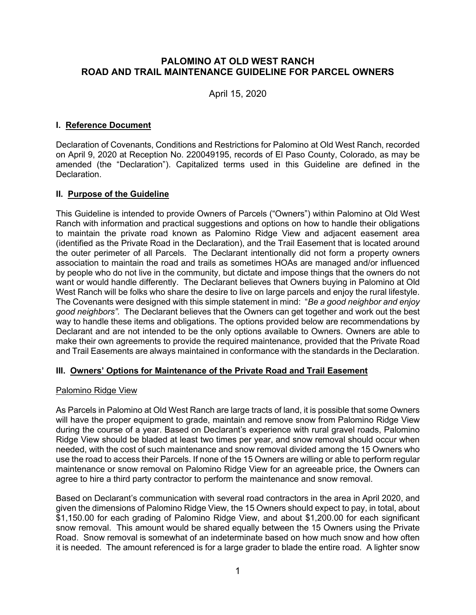# **PALOMINO AT OLD WEST RANCH ROAD AND TRAIL MAINTENANCE GUIDELINE FOR PARCEL OWNERS**

April 15, 2020

## **I. Reference Document**

Declaration of Covenants, Conditions and Restrictions for Palomino at Old West Ranch, recorded on April 9, 2020 at Reception No. 220049195, records of El Paso County, Colorado, as may be amended (the "Declaration"). Capitalized terms used in this Guideline are defined in the Declaration.

## **II. Purpose of the Guideline**

This Guideline is intended to provide Owners of Parcels ("Owners") within Palomino at Old West Ranch with information and practical suggestions and options on how to handle their obligations to maintain the private road known as Palomino Ridge View and adjacent easement area (identified as the Private Road in the Declaration), and the Trail Easement that is located around the outer perimeter of all Parcels. The Declarant intentionally did not form a property owners association to maintain the road and trails as sometimes HOAs are managed and/or influenced by people who do not live in the community, but dictate and impose things that the owners do not want or would handle differently. The Declarant believes that Owners buying in Palomino at Old West Ranch will be folks who share the desire to live on large parcels and enjoy the rural lifestyle. The Covenants were designed with this simple statement in mind: "*Be a good neighbor and enjoy good neighbors".* The Declarant believes that the Owners can get together and work out the best way to handle these items and obligations. The options provided below are recommendations by Declarant and are not intended to be the only options available to Owners. Owners are able to make their own agreements to provide the required maintenance, provided that the Private Road and Trail Easements are always maintained in conformance with the standards in the Declaration.

## **III. Owners' Options for Maintenance of the Private Road and Trail Easement**

## Palomino Ridge View

As Parcels in Palomino at Old West Ranch are large tracts of land, it is possible that some Owners will have the proper equipment to grade, maintain and remove snow from Palomino Ridge View during the course of a year. Based on Declarant's experience with rural gravel roads, Palomino Ridge View should be bladed at least two times per year, and snow removal should occur when needed, with the cost of such maintenance and snow removal divided among the 15 Owners who use the road to access their Parcels. If none of the 15 Owners are willing or able to perform regular maintenance or snow removal on Palomino Ridge View for an agreeable price, the Owners can agree to hire a third party contractor to perform the maintenance and snow removal.

Based on Declarant's communication with several road contractors in the area in April 2020, and given the dimensions of Palomino Ridge View, the 15 Owners should expect to pay, in total, about \$1,150.00 for each grading of Palomino Ridge View, and about \$1,200.00 for each significant snow removal. This amount would be shared equally between the 15 Owners using the Private Road. Snow removal is somewhat of an indeterminate based on how much snow and how often it is needed. The amount referenced is for a large grader to blade the entire road. A lighter snow